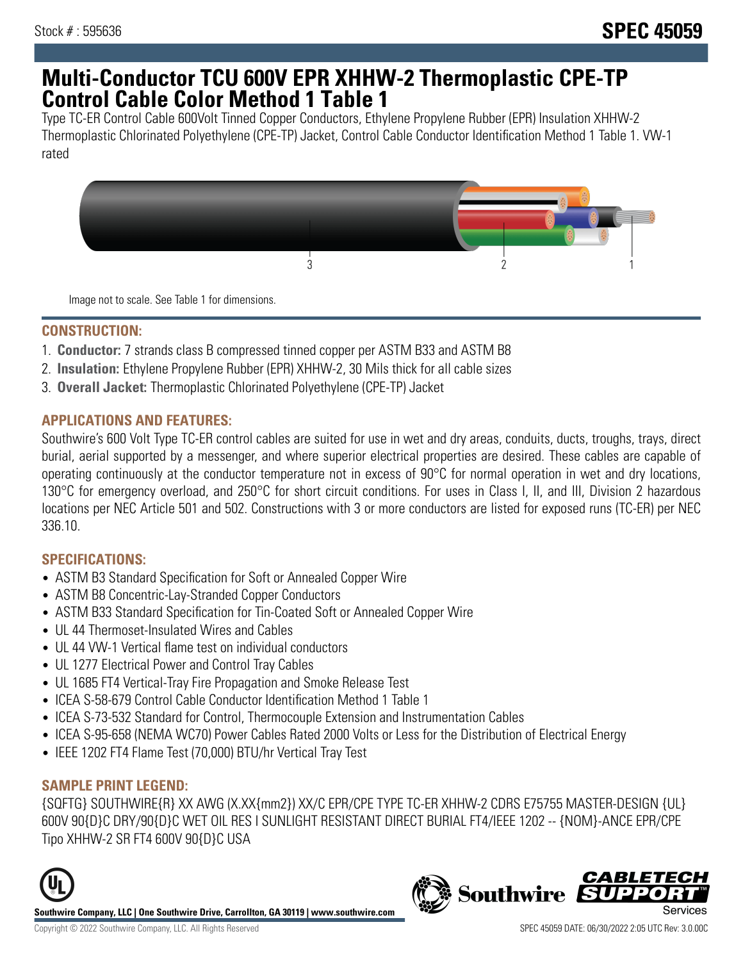## **Multi-Conductor TCU 600V EPR XHHW-2 Thermoplastic CPE-TP Control Cable Color Method 1 Table 1**

Type TC-ER Control Cable 600Volt Tinned Copper Conductors, Ethylene Propylene Rubber (EPR) Insulation XHHW-2 Thermoplastic Chlorinated Polyethylene (CPE-TP) Jacket, Control Cable Conductor Identification Method 1 Table 1. VW-1 rated



Image not to scale. See Table 1 for dimensions.

#### **CONSTRUCTION:**

- 1. **Conductor:** 7 strands class B compressed tinned copper per ASTM B33 and ASTM B8
- 2. **Insulation:** Ethylene Propylene Rubber (EPR) XHHW-2, 30 Mils thick for all cable sizes
- 3. **Overall Jacket:** Thermoplastic Chlorinated Polyethylene (CPE-TP) Jacket

#### **APPLICATIONS AND FEATURES:**

Southwire's 600 Volt Type TC-ER control cables are suited for use in wet and dry areas, conduits, ducts, troughs, trays, direct burial, aerial supported by a messenger, and where superior electrical properties are desired. These cables are capable of operating continuously at the conductor temperature not in excess of 90°C for normal operation in wet and dry locations, 130°C for emergency overload, and 250°C for short circuit conditions. For uses in Class I, II, and III, Division 2 hazardous locations per NEC Article 501 and 502. Constructions with 3 or more conductors are listed for exposed runs (TC-ER) per NEC 336.10.

## **SPECIFICATIONS:**

- ASTM B3 Standard Specification for Soft or Annealed Copper Wire
- ASTM B8 Concentric-Lay-Stranded Copper Conductors
- ASTM B33 Standard Specification for Tin-Coated Soft or Annealed Copper Wire
- UL 44 Thermoset-Insulated Wires and Cables
- UL 44 VW-1 Vertical flame test on individual conductors
- UL 1277 Electrical Power and Control Tray Cables
- UL 1685 FT4 Vertical-Tray Fire Propagation and Smoke Release Test
- ICEA S-58-679 Control Cable Conductor Identification Method 1 Table 1
- ICEA S-73-532 Standard for Control, Thermocouple Extension and Instrumentation Cables
- ICEA S-95-658 (NEMA WC70) Power Cables Rated 2000 Volts or Less for the Distribution of Electrical Energy
- IEEE 1202 FT4 Flame Test (70,000) BTU/hr Vertical Tray Test

## **SAMPLE PRINT LEGEND:**

{SQFTG} SOUTHWIRE{R} XX AWG (X.XX{mm2}) XX/C EPR/CPE TYPE TC-ER XHHW-2 CDRS E75755 MASTER-DESIGN {UL} 600V 90{D}C DRY/90{D}C WET OIL RES I SUNLIGHT RESISTANT DIRECT BURIAL FT4/IEEE 1202 -- {NOM}-ANCE EPR/CPE Tipo XHHW-2 SR FT4 600V 90{D}C USA



**Southwire Company, LLC | One Southwire Drive, Carrollton, GA 30119 | www.southwire.com**